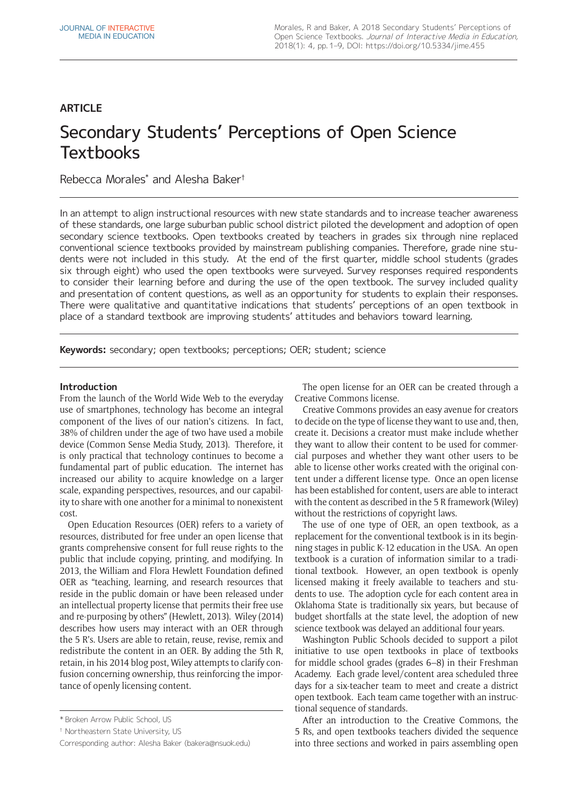# **ARTICLE**

# Secondary Students' Perceptions of Open Science **Textbooks**

Rebecca Morales\* and Alesha Baker†

In an attempt to align instructional resources with new state standards and to increase teacher awareness of these standards, one large suburban public school district piloted the development and adoption of open secondary science textbooks. Open textbooks created by teachers in grades six through nine replaced conventional science textbooks provided by mainstream publishing companies. Therefore, grade nine students were not included in this study. At the end of the first quarter, middle school students (grades six through eight) who used the open textbooks were surveyed. Survey responses required respondents to consider their learning before and during the use of the open textbook. The survey included quality and presentation of content questions, as well as an opportunity for students to explain their responses. There were qualitative and quantitative indications that students' perceptions of an open textbook in place of a standard textbook are improving students' attitudes and behaviors toward learning.

**Keywords:** secondary; open textbooks; perceptions; OER; student; science

# **Introduction**

From the launch of the World Wide Web to the everyday use of smartphones, technology has become an integral component of the lives of our nation's citizens. In fact, 38% of children under the age of two have used a mobile device (Common Sense Media Study, 2013). Therefore, it is only practical that technology continues to become a fundamental part of public education. The internet has increased our ability to acquire knowledge on a larger scale, expanding perspectives, resources, and our capability to share with one another for a minimal to nonexistent cost.

Open Education Resources (OER) refers to a variety of resources, distributed for free under an open license that grants comprehensive consent for full reuse rights to the public that include copying, printing, and modifying. In 2013, the William and Flora Hewlett Foundation defined OER as "teaching, learning, and research resources that reside in the public domain or have been released under an intellectual property license that permits their free use and re-purposing by others" (Hewlett, 2013). Wiley (2014) describes how users may interact with an OER through the 5 R's. Users are able to retain, reuse, revise, remix and redistribute the content in an OER. By adding the 5th R, retain, in his 2014 blog post, Wiley attempts to clarify confusion concerning ownership, thus reinforcing the importance of openly licensing content.

The open license for an OER can be created through a Creative Commons license.

Creative Commons provides an easy avenue for creators to decide on the type of license they want to use and, then, create it. Decisions a creator must make include whether they want to allow their content to be used for commercial purposes and whether they want other users to be able to license other works created with the original content under a different license type. Once an open license has been established for content, users are able to interact with the content as described in the 5 R framework (Wiley) without the restrictions of copyright laws.

The use of one type of OER, an open textbook, as a replacement for the conventional textbook is in its beginning stages in public K-12 education in the USA. An open textbook is a curation of information similar to a traditional textbook. However, an open textbook is openly licensed making it freely available to teachers and students to use. The adoption cycle for each content area in Oklahoma State is traditionally six years, but because of budget shortfalls at the state level, the adoption of new science textbook was delayed an additional four years.

Washington Public Schools decided to support a pilot initiative to use open textbooks in place of textbooks for middle school grades (grades 6–8) in their Freshman Academy. Each grade level/content area scheduled three days for a six-teacher team to meet and create a district open textbook. Each team came together with an instructional sequence of standards.

After an introduction to the Creative Commons, the 5 Rs, and open textbooks teachers divided the sequence into three sections and worked in pairs assembling open

<sup>\*</sup> Broken Arrow Public School, US

<sup>†</sup> Northeastern State University, US

Corresponding author: Alesha Baker [\(bakera@nsuok.edu\)](mailto:bakera@nsuok.edu)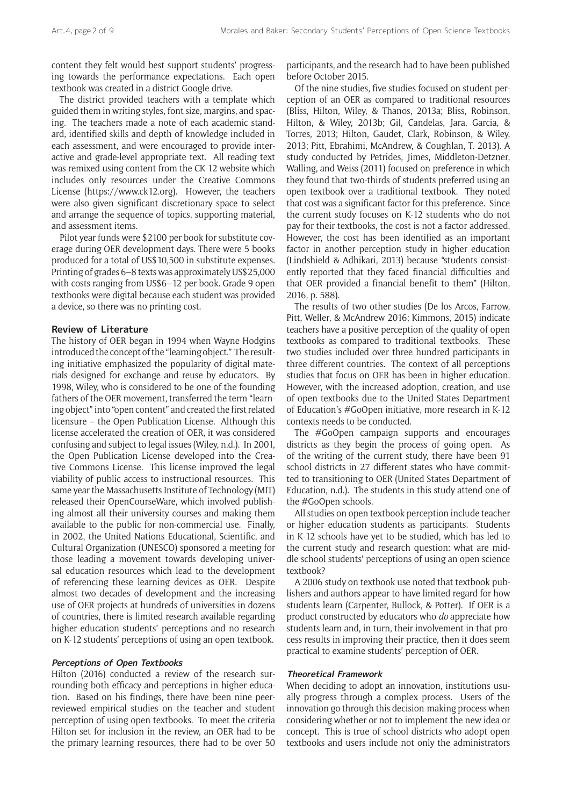content they felt would best support students' progressing towards the performance expectations. Each open textbook was created in a district Google drive.

The district provided teachers with a template which guided them in writing styles, font size, margins, and spacing. The teachers made a note of each academic standard, identified skills and depth of knowledge included in each assessment, and were encouraged to provide interactive and grade-level appropriate text. All reading text was remixed using content from the CK-12 website which includes only resources under the Creative Commons License (<https://www.ck12.org>). However, the teachers were also given significant discretionary space to select and arrange the sequence of topics, supporting material, and assessment items.

Pilot year funds were \$2100 per book for substitute coverage during OER development days. There were 5 books produced for a total of US\$10,500 in substitute expenses. Printing of grades 6–8 texts was approximately US\$25,000 with costs ranging from US\$6–12 per book. Grade 9 open textbooks were digital because each student was provided a device, so there was no printing cost.

# **Review of Literature**

The history of OER began in 1994 when Wayne Hodgins introduced the concept of the "learning object." The resulting initiative emphasized the popularity of digital materials designed for exchange and reuse by educators. By 1998, Wiley, who is considered to be one of the founding fathers of the OER movement, transferred the term "learning object" into "open content" and created the first related licensure – the Open Publication License. Although this license accelerated the creation of OER, it was considered confusing and subject to legal issues (Wiley, n.d.). In 2001, the Open Publication License developed into the Creative Commons License. This license improved the legal viability of public access to instructional resources. This same year the Massachusetts Institute of Technology (MIT) released their OpenCourseWare, which involved publishing almost all their university courses and making them available to the public for non-commercial use. Finally, in 2002, the United Nations Educational, Scientific, and Cultural Organization (UNESCO) sponsored a meeting for those leading a movement towards developing universal education resources which lead to the development of referencing these learning devices as OER. Despite almost two decades of development and the increasing use of OER projects at hundreds of universities in dozens of countries, there is limited research available regarding higher education students' perceptions and no research on K-12 students' perceptions of using an open textbook.

### **Perceptions of Open Textbooks**

Hilton (2016) conducted a review of the research surrounding both efficacy and perceptions in higher education. Based on his findings, there have been nine peerreviewed empirical studies on the teacher and student perception of using open textbooks. To meet the criteria Hilton set for inclusion in the review, an OER had to be the primary learning resources, there had to be over 50 participants, and the research had to have been published before October 2015.

Of the nine studies, five studies focused on student perception of an OER as compared to traditional resources (Bliss, Hilton, Wiley, & Thanos, 2013a; Bliss, Robinson, Hilton, & Wiley, 2013b; Gil, Candelas, Jara, Garcia, & Torres, 2013; Hilton, Gaudet, Clark, Robinson, & Wiley, 2013; Pitt, Ebrahimi, McAndrew, & Coughlan, T. 2013). A study conducted by Petrides, Jimes, Middleton-Detzner, Walling, and Weiss (2011) focused on preference in which they found that two-thirds of students preferred using an open textbook over a traditional textbook. They noted that cost was a significant factor for this preference. Since the current study focuses on K-12 students who do not pay for their textbooks, the cost is not a factor addressed. However, the cost has been identified as an important factor in another perception study in higher education (Lindshield & Adhikari, 2013) because "students consistently reported that they faced financial difficulties and that OER provided a financial benefit to them" (Hilton, 2016, p. 588).

The results of two other studies (De los Arcos, Farrow, Pitt, Weller, & McAndrew 2016; Kimmons, 2015) indicate teachers have a positive perception of the quality of open textbooks as compared to traditional textbooks. These two studies included over three hundred participants in three different countries. The context of all perceptions studies that focus on OER has been in higher education. However, with the increased adoption, creation, and use of open textbooks due to the United States Department of Education's #GoOpen initiative, more research in K-12 contexts needs to be conducted.

The #GoOpen campaign supports and encourages districts as they begin the process of going open. As of the writing of the current study, there have been 91 school districts in 27 different states who have committed to transitioning to OER (United States Department of Education, n.d.). The students in this study attend one of the #GoOpen schools.

All studies on open textbook perception include teacher or higher education students as participants. Students in K-12 schools have yet to be studied, which has led to the current study and research question: what are middle school students' perceptions of using an open science textbook?

A 2006 study on textbook use noted that textbook publishers and authors appear to have limited regard for how students learn (Carpenter, Bullock, & Potter). If OER is a product constructed by educators who *do* appreciate how students learn and, in turn, their involvement in that process results in improving their practice, then it does seem practical to examine students' perception of OER.

# **Theoretical Framework**

When deciding to adopt an innovation, institutions usually progress through a complex process. Users of the innovation go through this decision-making process when considering whether or not to implement the new idea or concept. This is true of school districts who adopt open textbooks and users include not only the administrators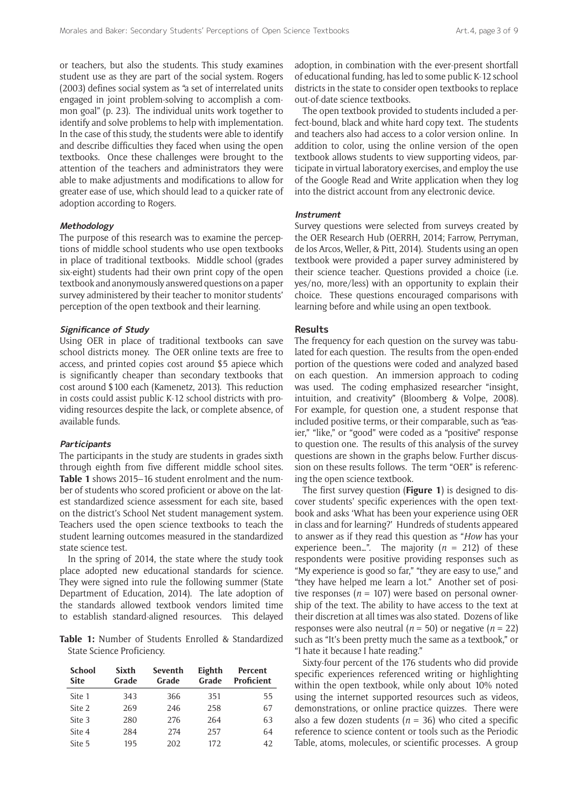or teachers, but also the students. This study examines student use as they are part of the social system. Rogers (2003) defines social system as "a set of interrelated units engaged in joint problem-solving to accomplish a common goal" (p. 23). The individual units work together to identify and solve problems to help with implementation. In the case of this study, the students were able to identify and describe difficulties they faced when using the open textbooks. Once these challenges were brought to the attention of the teachers and administrators they were able to make adjustments and modifications to allow for greater ease of use, which should lead to a quicker rate of adoption according to Rogers.

#### **Methodology**

The purpose of this research was to examine the perceptions of middle school students who use open textbooks in place of traditional textbooks. Middle school (grades six-eight) students had their own print copy of the open textbook and anonymously answered questions on a paper survey administered by their teacher to monitor students' perception of the open textbook and their learning.

#### **Significance of Study**

Using OER in place of traditional textbooks can save school districts money. The OER online texts are free to access, and printed copies cost around \$5 apiece which is significantly cheaper than secondary textbooks that cost around \$100 each (Kamenetz, 2013). This reduction in costs could assist public K-12 school districts with providing resources despite the lack, or complete absence, of available funds.

#### **Participants**

The participants in the study are students in grades sixth through eighth from five different middle school sites. **Table 1** shows 2015–16 student enrolment and the number of students who scored proficient or above on the latest standardized science assessment for each site, based on the district's School Net student management system. Teachers used the open science textbooks to teach the student learning outcomes measured in the standardized state science test.

In the spring of 2014, the state where the study took place adopted new educational standards for science. They were signed into rule the following summer (State Department of Education, 2014). The late adoption of the standards allowed textbook vendors limited time to establish standard-aligned resources. This delayed

**Table 1:** Number of Students Enrolled & Standardized State Science Proficiency.

| <b>School</b><br><b>Site</b> | Sixth<br>Grade | Seventh<br>Grade | Eighth<br>Grade | <b>Percent</b><br><b>Proficient</b> |
|------------------------------|----------------|------------------|-----------------|-------------------------------------|
| Site 1                       | 343            | 366              | 351             | 55                                  |
| Site 2                       | 269            | 246              | 258             | 67                                  |
| Site 3                       | 280            | 276              | 264             | 63                                  |
| Site 4                       | 284            | 2.74             | 257             | 64                                  |
| Site 5                       | 195            | 202              | 172             | 42                                  |

adoption, in combination with the ever-present shortfall of educational funding, has led to some public K-12 school districts in the state to consider open textbooks to replace out-of-date science textbooks.

The open textbook provided to students included a perfect-bound, black and white hard copy text. The students and teachers also had access to a color version online. In addition to color, using the online version of the open textbook allows students to view supporting videos, participate in virtual laboratory exercises, and employ the use of the Google Read and Write application when they log into the district account from any electronic device.

#### **Instrument**

Survey questions were selected from surveys created by the OER Research Hub (OERRH, 2014; Farrow, Perryman, de los Arcos, Weller, & Pitt, 2014). Students using an open textbook were provided a paper survey administered by their science teacher. Questions provided a choice (i.e. yes/no, more/less) with an opportunity to explain their choice. These questions encouraged comparisons with learning before and while using an open textbook.

#### **Results**

The frequency for each question on the survey was tabulated for each question. The results from the open-ended portion of the questions were coded and analyzed based on each question. An immersion approach to coding was used. The coding emphasized researcher "insight, intuition, and creativity" (Bloomberg & Volpe, 2008). For example, for question one, a student response that included positive terms, or their comparable, such as "easier," "like," or "good" were coded as a "positive" response to question one. The results of this analysis of the survey questions are shown in the graphs below. Further discussion on these results follows. The term "OER" is referencing the open science textbook.

The first survey question (**Figure 1**) is designed to discover students' specific experiences with the open textbook and asks 'What has been your experience using OER in class and for learning?' Hundreds of students appeared to answer as if they read this question as "*How* has your experience been...". The majority  $(n = 212)$  of these respondents were positive providing responses such as "My experience is good so far," "they are easy to use," and "they have helped me learn a lot." Another set of positive responses ( $n = 107$ ) were based on personal ownership of the text. The ability to have access to the text at their discretion at all times was also stated. Dozens of like responses were also neutral ( $n = 50$ ) or negative ( $n = 22$ ) such as "It's been pretty much the same as a textbook," or "I hate it because I hate reading."

Sixty-four percent of the 176 students who did provide specific experiences referenced writing or highlighting within the open textbook, while only about 10% noted using the internet supported resources such as videos, demonstrations, or online practice quizzes. There were also a few dozen students ( $n = 36$ ) who cited a specific reference to science content or tools such as the Periodic Table, atoms, molecules, or scientific processes. A group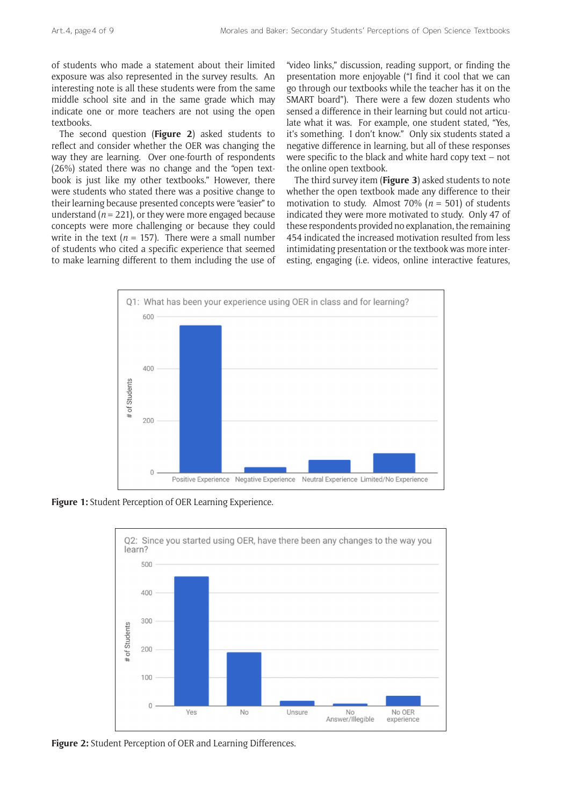of students who made a statement about their limited exposure was also represented in the survey results. An interesting note is all these students were from the same middle school site and in the same grade which may indicate one or more teachers are not using the open textbooks.

The second question (**Figure 2**) asked students to reflect and consider whether the OER was changing the way they are learning. Over one-fourth of respondents (26%) stated there was no change and the "open textbook is just like my other textbooks." However, there were students who stated there was a positive change to their learning because presented concepts were "easier" to understand ( $n = 221$ ), or they were more engaged because concepts were more challenging or because they could write in the text ( $n = 157$ ). There were a small number of students who cited a specific experience that seemed to make learning different to them including the use of

"video links," discussion, reading support, or finding the presentation more enjoyable ("I find it cool that we can go through our textbooks while the teacher has it on the SMART board"). There were a few dozen students who sensed a difference in their learning but could not articulate what it was. For example, one student stated, "Yes, it's something. I don't know." Only six students stated a negative difference in learning, but all of these responses were specific to the black and white hard copy text – not the online open textbook.

The third survey item (**Figure 3**) asked students to note whether the open textbook made any difference to their motivation to study. Almost 70% (*n =* 501) of students indicated they were more motivated to study. Only 47 of these respondents provided no explanation, the remaining 454 indicated the increased motivation resulted from less intimidating presentation or the textbook was more interesting, engaging (i.e. videos, online interactive features,



**Figure 1:** Student Perception of OER Learning Experience.



**Figure 2:** Student Perception of OER and Learning Differences.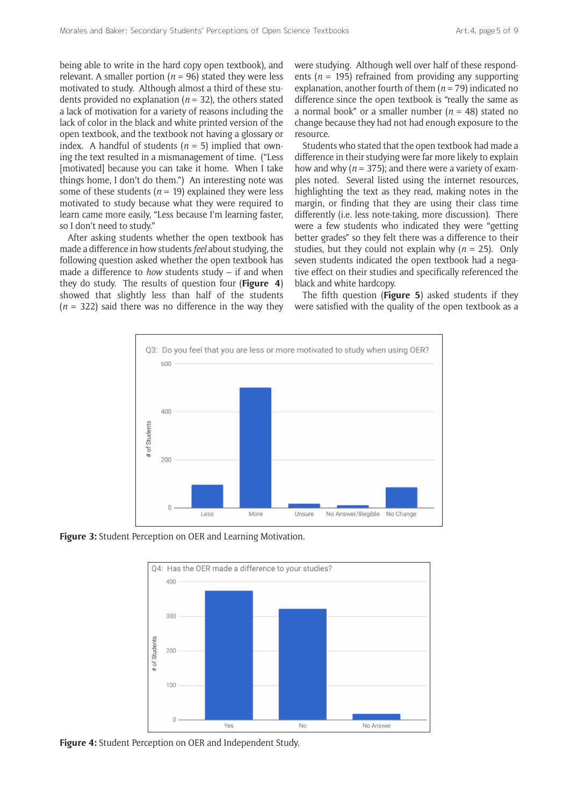being able to write in the hard copy open textbook), and relevant. A smaller portion ( $n = 96$ ) stated they were less motivated to study. Although almost a third of these students provided no explanation ( $n = 32$ ), the others stated a lack of motivation for a variety of reasons including the lack of color in the black and white printed version of the open textbook, and the textbook not having a glossary or index. A handful of students  $(n = 5)$  implied that owning the text resulted in a mismanagement of time. ("Less [motivated] because you can take it home. When I take things home, I don't do them.") An interesting note was some of these students ( $n = 19$ ) explained they were less motivated to study because what they were required to learn came more easily, "Less because I'm learning faster, so I don't need to study."

After asking students whether the open textbook has made a difference in how students *feel* about studying, the following question asked whether the open textbook has made a difference to *how* students study – if and when they do study. The results of question four (**Figure 4**) showed that slightly less than half of the students (*n* = 322) said there was no difference in the way they were studying. Although well over half of these respondents ( $n = 195$ ) refrained from providing any supporting explanation, another fourth of them  $(n = 79)$  indicated no difference since the open textbook is "really the same as a normal book" or a smaller number (*n* = 48) stated no change because they had not had enough exposure to the resource.

Students who stated that the open textbook had made a difference in their studying were far more likely to explain how and why ( $n = 375$ ); and there were a variety of examples noted. Several listed using the internet resources, highlighting the text as they read, making notes in the margin, or finding that they are using their class time differently (i.e. less note-taking, more discussion). There were a few students who indicated they were "getting better grades" so they felt there was a difference to their studies, but they could not explain why  $(n = 25)$ . Only seven students indicated the open textbook had a negative effect on their studies and specifically referenced the black and white hardcopy.

The fifth question (**Figure 5**) asked students if they were satisfied with the quality of the open textbook as a



**Figure 3:** Student Perception on OER and Learning Motivation.



**Figure 4:** Student Perception on OER and Independent Study.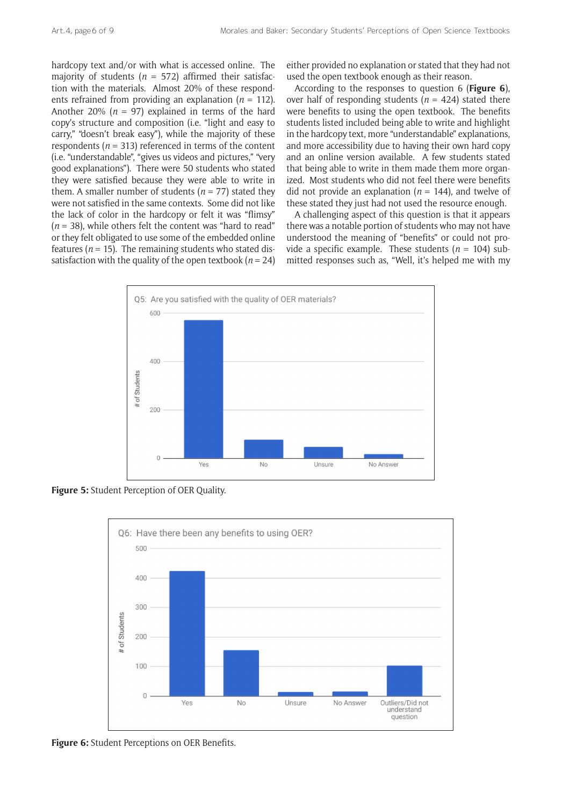hardcopy text and/or with what is accessed online. The majority of students ( $n = 572$ ) affirmed their satisfaction with the materials. Almost 20% of these respondents refrained from providing an explanation (*n* = 112). Another 20% ( $n = 97$ ) explained in terms of the hard copy's structure and composition (i.e. "light and easy to carry," "doesn't break easy"), while the majority of these respondents  $(n = 313)$  referenced in terms of the content (i.e. "understandable", "gives us videos and pictures," "very good explanations"). There were 50 students who stated they were satisfied because they were able to write in them. A smaller number of students ( $n = 77$ ) stated they were not satisfied in the same contexts. Some did not like the lack of color in the hardcopy or felt it was "flimsy"  $(n = 38)$ , while others felt the content was "hard to read" or they felt obligated to use some of the embedded online features ( $n = 15$ ). The remaining students who stated dissatisfaction with the quality of the open textbook ( $n = 24$ ) either provided no explanation or stated that they had not used the open textbook enough as their reason.

According to the responses to question 6 (**Figure 6**), over half of responding students ( $n = 424$ ) stated there were benefits to using the open textbook. The benefits students listed included being able to write and highlight in the hardcopy text, more "understandable" explanations, and more accessibility due to having their own hard copy and an online version available. A few students stated that being able to write in them made them more organized. Most students who did not feel there were benefits did not provide an explanation ( $n = 144$ ), and twelve of these stated they just had not used the resource enough.

A challenging aspect of this question is that it appears there was a notable portion of students who may not have understood the meaning of "benefits" or could not provide a specific example. These students  $(n = 104)$  submitted responses such as, "Well, it's helped me with my



**Figure 5:** Student Perception of OER Quality.



**Figure 6:** Student Perceptions on OER Benefits.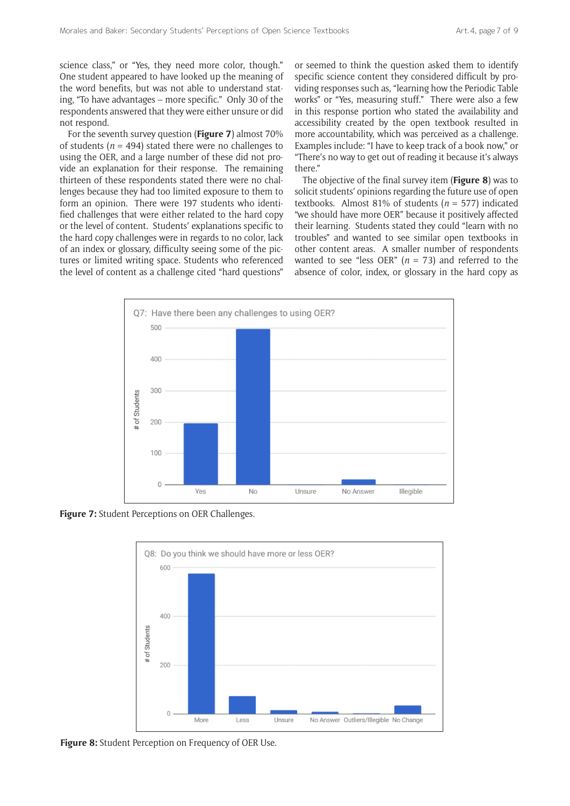science class," or "Yes, they need more color, though." One student appeared to have looked up the meaning of the word benefits, but was not able to understand stating, "To have advantages – more specific." Only 30 of the respondents answered that they were either unsure or did not respond.

For the seventh survey question (**Figure 7**) almost 70% of students ( $n = 494$ ) stated there were no challenges to using the OER, and a large number of these did not provide an explanation for their response. The remaining thirteen of these respondents stated there were no challenges because they had too limited exposure to them to form an opinion. There were 197 students who identified challenges that were either related to the hard copy or the level of content. Students' explanations specific to the hard copy challenges were in regards to no color, lack of an index or glossary, difficulty seeing some of the pictures or limited writing space. Students who referenced the level of content as a challenge cited "hard questions"

or seemed to think the question asked them to identify specific science content they considered difficult by providing responses such as, "learning how the Periodic Table works" or "Yes, measuring stuff." There were also a few in this response portion who stated the availability and accessibility created by the open textbook resulted in more accountability, which was perceived as a challenge. Examples include: "I have to keep track of a book now," or "There's no way to get out of reading it because it's always there."

The objective of the final survey item (**Figure 8**) was to solicit students' opinions regarding the future use of open textbooks. Almost 81% of students (*n* = 577) indicated "we should have more OER" because it positively affected their learning. Students stated they could "learn with no troubles" and wanted to see similar open textbooks in other content areas. A smaller number of respondents wanted to see "less OER" ( $n = 73$ ) and referred to the absence of color, index, or glossary in the hard copy as



**Figure 7:** Student Perceptions on OER Challenges.



**Figure 8:** Student Perception on Frequency of OER Use.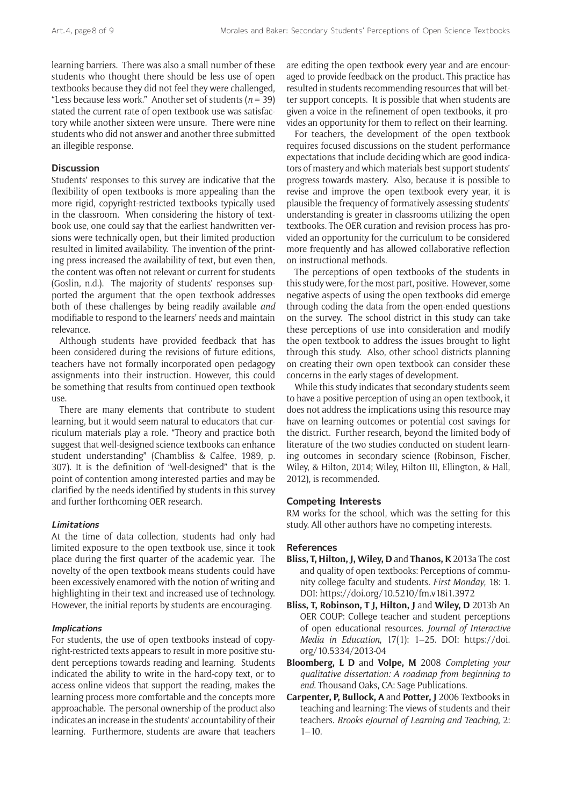learning barriers. There was also a small number of these students who thought there should be less use of open textbooks because they did not feel they were challenged, "Less because less work." Another set of students ( $n = 39$ ) stated the current rate of open textbook use was satisfactory while another sixteen were unsure. There were nine students who did not answer and another three submitted an illegible response.

# **Discussion**

Students' responses to this survey are indicative that the flexibility of open textbooks is more appealing than the more rigid, copyright-restricted textbooks typically used in the classroom. When considering the history of textbook use, one could say that the earliest handwritten versions were technically open, but their limited production resulted in limited availability. The invention of the printing press increased the availability of text, but even then, the content was often not relevant or current for students (Goslin, n.d.). The majority of students' responses supported the argument that the open textbook addresses both of these challenges by being readily available *and* modifiable to respond to the learners' needs and maintain relevance.

Although students have provided feedback that has been considered during the revisions of future editions, teachers have not formally incorporated open pedagogy assignments into their instruction. However, this could be something that results from continued open textbook use.

There are many elements that contribute to student learning, but it would seem natural to educators that curriculum materials play a role. "Theory and practice both suggest that well-designed science textbooks can enhance student understanding" (Chambliss & Calfee, 1989, p. 307). It is the definition of "well-designed" that is the point of contention among interested parties and may be clarified by the needs identified by students in this survey and further forthcoming OER research.

#### **Limitations**

At the time of data collection, students had only had limited exposure to the open textbook use, since it took place during the first quarter of the academic year. The novelty of the open textbook means students could have been excessively enamored with the notion of writing and highlighting in their text and increased use of technology. However, the initial reports by students are encouraging.

#### **Implications**

For students, the use of open textbooks instead of copyright-restricted texts appears to result in more positive student perceptions towards reading and learning. Students indicated the ability to write in the hard-copy text, or to access online videos that support the reading, makes the learning process more comfortable and the concepts more approachable. The personal ownership of the product also indicates an increase in the students' accountability of their learning. Furthermore, students are aware that teachers

are editing the open textbook every year and are encouraged to provide feedback on the product. This practice has resulted in students recommending resources that will better support concepts. It is possible that when students are given a voice in the refinement of open textbooks, it provides an opportunity for them to reflect on their learning.

For teachers, the development of the open textbook requires focused discussions on the student performance expectations that include deciding which are good indicators of mastery and which materials best support students' progress towards mastery. Also, because it is possible to revise and improve the open textbook every year, it is plausible the frequency of formatively assessing students' understanding is greater in classrooms utilizing the open textbooks. The OER curation and revision process has provided an opportunity for the curriculum to be considered more frequently and has allowed collaborative reflection on instructional methods.

The perceptions of open textbooks of the students in this study were, for the most part, positive. However, some negative aspects of using the open textbooks did emerge through coding the data from the open-ended questions on the survey. The school district in this study can take these perceptions of use into consideration and modify the open textbook to address the issues brought to light through this study. Also, other school districts planning on creating their own open textbook can consider these concerns in the early stages of development.

While this study indicates that secondary students seem to have a positive perception of using an open textbook, it does not address the implications using this resource may have on learning outcomes or potential cost savings for the district. Further research, beyond the limited body of literature of the two studies conducted on student learning outcomes in secondary science (Robinson, Fischer, Wiley, & Hilton, 2014; Wiley, Hilton III, Ellington, & Hall, 2012), is recommended.

## **Competing Interests**

RM works for the school, which was the setting for this study. All other authors have no competing interests.

#### **References**

- **Bliss, T, Hilton, J, Wiley, D** and **Thanos, K** 2013a The cost and quality of open textbooks: Perceptions of community college faculty and students. *First Monday*, 18: 1. DOI:<https://doi.org/10.5210/fm.v18i1.3972>
- **Bliss, T, Robinson, T J, Hilton, J** and **Wiley, D** 2013b An OER COUP: College teacher and student perceptions of open educational resources. *Journal of Interactive Media in Education*, 17(1): 1–25. DOI: [https://doi.](https://doi.org/10.5334/2013-04) [org/10.5334/2013-04](https://doi.org/10.5334/2013-04)
- **Bloomberg, L D** and **Volpe, M** 2008 *Completing your qualitative dissertation: A roadmap from beginning to end*. Thousand Oaks, CA: Sage Publications.
- **Carpenter, P, Bullock, A** and **Potter, J** 2006 Textbooks in teaching and learning: The views of students and their teachers. *Brooks eJournal of Learning and Teaching*, 2:  $1 - 10$ .